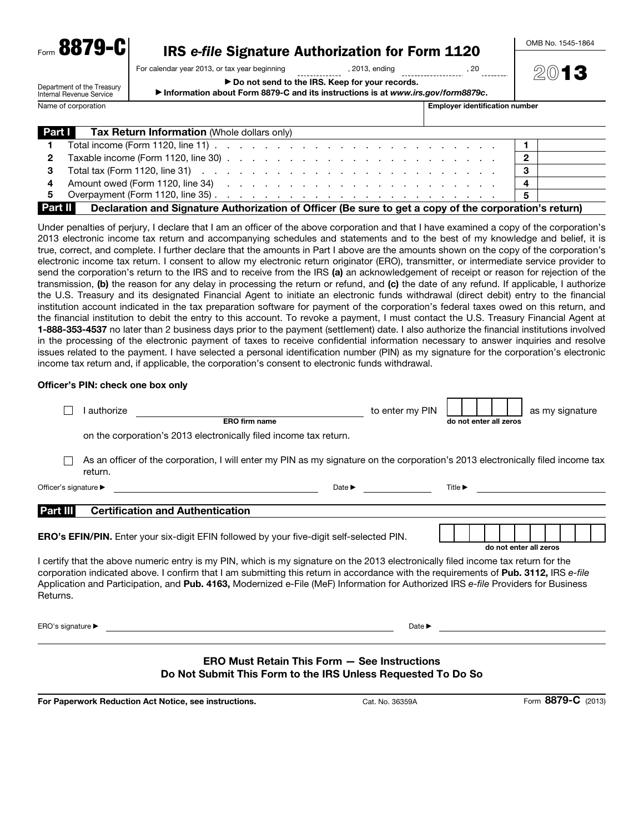| Form 8879-C                                                                                                                                                                                   | IRS e-file Signature Authorization for Form 1120                                                                                  |                                       | OMB No. 1545-1864 |  |  |  |
|-----------------------------------------------------------------------------------------------------------------------------------------------------------------------------------------------|-----------------------------------------------------------------------------------------------------------------------------------|---------------------------------------|-------------------|--|--|--|
|                                                                                                                                                                                               |                                                                                                                                   |                                       |                   |  |  |  |
|                                                                                                                                                                                               | For calendar year 2013, or tax year beginning (3013, ending                                                                       | . 20                                  | 2013              |  |  |  |
| ▶ Do not send to the IRS. Keep for your records.<br>Department of the Treasury<br>Information about Form 8879-C and its instructions is at www.irs.gov/form8879c.<br>Internal Revenue Service |                                                                                                                                   |                                       |                   |  |  |  |
| Name of corporation                                                                                                                                                                           |                                                                                                                                   | <b>Employer identification number</b> |                   |  |  |  |
|                                                                                                                                                                                               |                                                                                                                                   |                                       |                   |  |  |  |
| <b>Part I</b>                                                                                                                                                                                 | <b>Tax Return Information (Whole dollars only)</b>                                                                                |                                       |                   |  |  |  |
|                                                                                                                                                                                               | Total income (Form 1120, line 11) $\ldots$ $\ldots$ $\ldots$ $\ldots$ $\ldots$ $\ldots$ $\ldots$ $\ldots$ $\ldots$ $\ldots$       |                                       |                   |  |  |  |
| 2                                                                                                                                                                                             | Taxable income (Form 1120, line 30) $\ldots$ $\ldots$ $\ldots$ $\ldots$ $\ldots$ $\ldots$ $\ldots$ $\ldots$ $\ldots$              |                                       | 2                 |  |  |  |
|                                                                                                                                                                                               | Total tax (Form 1120, line 31) $\ldots$ $\ldots$ $\ldots$ $\ldots$ $\ldots$ $\ldots$ $\ldots$ $\ldots$ $\ldots$ $\ldots$ $\ldots$ |                                       | 3                 |  |  |  |

|                | Amount owed (Form 1120, line 34)                                                                                                                     |  |
|----------------|------------------------------------------------------------------------------------------------------------------------------------------------------|--|
|                | Overpayment (Form 1120, line 35).<br>the contract of the contract of the contract of the contract of the contract of the contract of the contract of |  |
| <b>Part II</b> | Declaration and Signature Authorization of Officer (Be sure to get a copy of the corporation's return)                                               |  |

Under penalties of perjury, I declare that I am an officer of the above corporation and that I have examined a copy of the corporation's 2013 electronic income tax return and accompanying schedules and statements and to the best of my knowledge and belief, it is true, correct, and complete. I further declare that the amounts in Part I above are the amounts shown on the copy of the corporation's electronic income tax return. I consent to allow my electronic return originator (ERO), transmitter, or intermediate service provider to send the corporation's return to the IRS and to receive from the IRS (a) an acknowledgement of receipt or reason for rejection of the transmission, (b) the reason for any delay in processing the return or refund, and (c) the date of any refund. If applicable, I authorize the U.S. Treasury and its designated Financial Agent to initiate an electronic funds withdrawal (direct debit) entry to the financial institution account indicated in the tax preparation software for payment of the corporation's federal taxes owed on this return, and the financial institution to debit the entry to this account. To revoke a payment, I must contact the U.S. Treasury Financial Agent at 1-888-353-4537 no later than 2 business days prior to the payment (settlement) date. I also authorize the financial institutions involved in the processing of the electronic payment of taxes to receive confidential information necessary to answer inquiries and resolve issues related to the payment. I have selected a personal identification number (PIN) as my signature for the corporation's electronic income tax return and, if applicable, the corporation's consent to electronic funds withdrawal.

#### Officer's PIN: check one box only

|                                                                                                                                                                                                                                                                                                                                                                                                                              | authorize | ERO firm name                                                                                                                   |                            | to enter my PIN            |                             | do not enter all zeros |  | as my signature |  |
|------------------------------------------------------------------------------------------------------------------------------------------------------------------------------------------------------------------------------------------------------------------------------------------------------------------------------------------------------------------------------------------------------------------------------|-----------|---------------------------------------------------------------------------------------------------------------------------------|----------------------------|----------------------------|-----------------------------|------------------------|--|-----------------|--|
|                                                                                                                                                                                                                                                                                                                                                                                                                              |           | on the corporation's 2013 electronically filed income tax return.                                                               |                            |                            |                             |                        |  |                 |  |
|                                                                                                                                                                                                                                                                                                                                                                                                                              | return.   | As an officer of the corporation, I will enter my PIN as my signature on the corporation's 2013 electronically filed income tax |                            |                            |                             |                        |  |                 |  |
| Officer's signature ▶                                                                                                                                                                                                                                                                                                                                                                                                        |           |                                                                                                                                 | Date $\blacktriangleright$ |                            | Title $\blacktriangleright$ |                        |  |                 |  |
| Part III                                                                                                                                                                                                                                                                                                                                                                                                                     |           | <b>Certification and Authentication</b>                                                                                         |                            |                            |                             |                        |  |                 |  |
|                                                                                                                                                                                                                                                                                                                                                                                                                              |           | <b>ERO's EFIN/PIN.</b> Enter your six-digit EFIN followed by your five-digit self-selected PIN.                                 |                            |                            |                             | do not enter all zeros |  |                 |  |
| I certify that the above numeric entry is my PIN, which is my signature on the 2013 electronically filed income tax return for the<br>corporation indicated above. I confirm that I am submitting this return in accordance with the requirements of Pub. 3112, IRS e-file<br>Application and Participation, and Pub. 4163, Modernized e-File (MeF) Information for Authorized IRS e-file Providers for Business<br>Returns. |           |                                                                                                                                 |                            |                            |                             |                        |  |                 |  |
| ERO's signature $\blacktriangleright$                                                                                                                                                                                                                                                                                                                                                                                        |           |                                                                                                                                 |                            | Date $\blacktriangleright$ |                             |                        |  |                 |  |
| <b>ERO Must Retain This Form - See Instructions</b><br>Do Not Submit This Form to the IRS Unless Requested To Do So                                                                                                                                                                                                                                                                                                          |           |                                                                                                                                 |                            |                            |                             |                        |  |                 |  |

For Paperwork Reduction Act Notice, see instructions. Cat. No. 36359A Form 8879-C (2013)